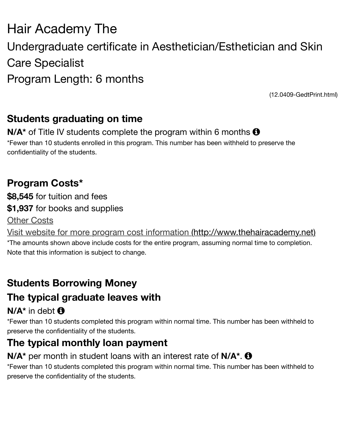# Care Specialist Program Length: 6 months

 $(12.0409$ 

## **Students graduating on time**

**N/A<sup>\*</sup>** of Title IV students complete the program within 6 months  $\Theta$ 

\*Fewer than 10 students enrolled in this program. This number has been withheld to preserve th confidentiality of the students.

### **Program Costs\***

**\$8,545** for tuition and fees **\$1,937** for books and supplies Other Costs Visit website for more program cost information (http://www.thehairacaden \*The amounts shown above include costs for the entire program, assuming normal time to comp

# **Students Borrowing Money**

Note that this information is subject to change.

## **[The typical graduate leaves with](http://www.thehairacademy.net/)**

### $N/A^*$  in debt  $\bigoplus$

\*Fewer than 10 students completed this program within normal time. This number has been with preserve the confidentiality of the students.

# **The typical monthly loan payment**

#### **N/A<sup>\*</sup>** per month in student loans with an interest rate of **N/A<sup>\*</sup>**.  $\bullet$

\*Fewer than 10 students completed this program within normal time. This number has been with preserve the confidentiality of the students.